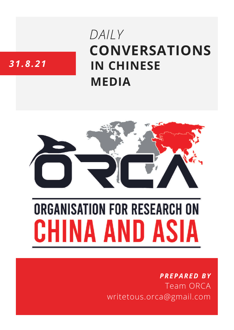# **CONVERSATIONS IN CHINESE MEDIA** *DAILY*

# *31.8.21*



# **ORGANISATION FOR RESEARCH ON** HINA AND ASIA

## *PREPARED BY* Team ORCA writetous.orca@gmail.com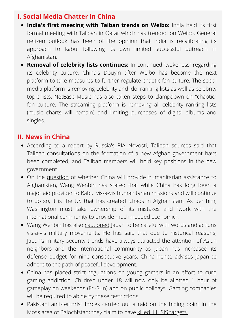#### **I. Social Media Chatter in China**

- **India's first meeting with Taiban trends on Weibo:** India held its first formal meeting with Taliban in Qatar which has trended on Weibo. General netizen outlook has been of the opinion that India is recalibrating its approach to Kabul following its own limited successful outreach in Afghanistan.
- **Removal of celebrity lists continues:** In continued 'wokeness' regarding its celebrity culture, China's Douyin after Weibo has become the next platform to take measures to further regulate chaotic fan culture. The social media platform is removing celebrity and idol ranking lists as well as celebrity topic lists. [NetEase](https://twitter.com/TrendingWeibo/status/1431977913595961348/photo/1) Music has also taken steps to clampdown on "chaotic" fan culture. The streaming platform is removing all celebrity ranking lists (music charts will remain) and limiting purchases of digital albums and singles.

#### **II. News in China**

- According to a report by [Russia's](https://news.ifeng.com/c/89AGwH8rl44) RIA Novosti, Taliban sources said that Taliban consultations on the formation of a new Afghan government have been completed, and Taliban members will hold key positions in the new government.
- On the [question](https://www.guancha.cn/internation/2021_08_31_605239_s.shtml?s=syyldbkx) of whether China will provide humanitarian assistance to Afghanistan, Wang Wenbin has stated that while China has long been a major aid provider to Kabul vis-a-vis humanitarian missions and will continue to do so, it is the US that has created 'chaos in Afghanistan'. As per him, Washington must take ownership of its mistakes and "work with the international community to provide much-needed economic".
- Wang Wenbin has also [cautioned](https://www.guancha.cn/internation/2021_08_31_605240_s.shtml?s=syyldbkx) Japan to be careful with words and actions vis-a-vis military movements. He has said that due to historical reasons, Japan's military security trends have always attracted the attention of Asian neighbors and the international community as Japan has increased its defense budget for nine consecutive years. China hence advises Japan to adhere to the path of peaceful development.
- China has placed strict [regulations](https://twitter.com/TrendingWeibo/status/1432337072787017738/photo/1) on young gamers in an effort to curb gaming addiction. Children under 18 will now only be allotted 1 hour of gameplay on weekends (Fri-Sun) and on public holidays. Gaming companies will be required to abide by these restrictions.
- Pakistani anti-terrorist forces carried out a raid on the hiding point in the Moss area of Balochistan; they claim to have killed 11 ISIS [targets.](https://world.huanqiu.com/article/44a7l3c7Fhd)